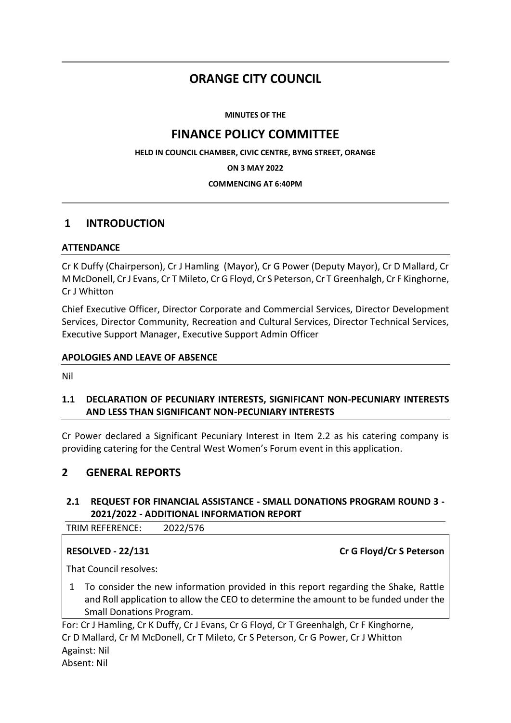# **ORANGE CITY COUNCIL**

**MINUTES OF THE**

# **FINANCE POLICY COMMITTEE**

**HELD IN COUNCIL CHAMBER, CIVIC CENTRE, BYNG STREET, ORANGE**

**ON 3 MAY 2022**

### **COMMENCING AT 6:40PM**

# **1 INTRODUCTION**

### **ATTENDANCE**

Cr K Duffy (Chairperson), Cr J Hamling (Mayor), Cr G Power (Deputy Mayor), Cr D Mallard, Cr M McDonell, Cr J Evans, Cr T Mileto, Cr G Floyd, Cr S Peterson, Cr T Greenhalgh, Cr F Kinghorne, Cr J Whitton

Chief Executive Officer, Director Corporate and Commercial Services, Director Development Services, Director Community, Recreation and Cultural Services, Director Technical Services, Executive Support Manager, Executive Support Admin Officer

### **APOLOGIES AND LEAVE OF ABSENCE**

Nil

# **1.1 DECLARATION OF PECUNIARY INTERESTS, SIGNIFICANT NON-PECUNIARY INTERESTS AND LESS THAN SIGNIFICANT NON-PECUNIARY INTERESTS**

Cr Power declared a Significant Pecuniary Interest in Item 2.2 as his catering company is providing catering for the Central West Women's Forum event in this application.

# **2 GENERAL REPORTS**

# **2.1 REQUEST FOR FINANCIAL ASSISTANCE - SMALL DONATIONS PROGRAM ROUND 3 - 2021/2022 - ADDITIONAL INFORMATION REPORT**

TRIM REFERENCE: 2022/576

**RESOLVED - 22/131 Cr G Floyd/Cr S Peterson** 

That Council resolves:

1 To consider the new information provided in this report regarding the Shake, Rattle and Roll application to allow the CEO to determine the amount to be funded under the Small Donations Program.

For: Cr J Hamling, Cr K Duffy, Cr J Evans, Cr G Floyd, Cr T Greenhalgh, Cr F Kinghorne, Cr D Mallard, Cr M McDonell, Cr T Mileto, Cr S Peterson, Cr G Power, Cr J Whitton Against: Nil Absent: Nil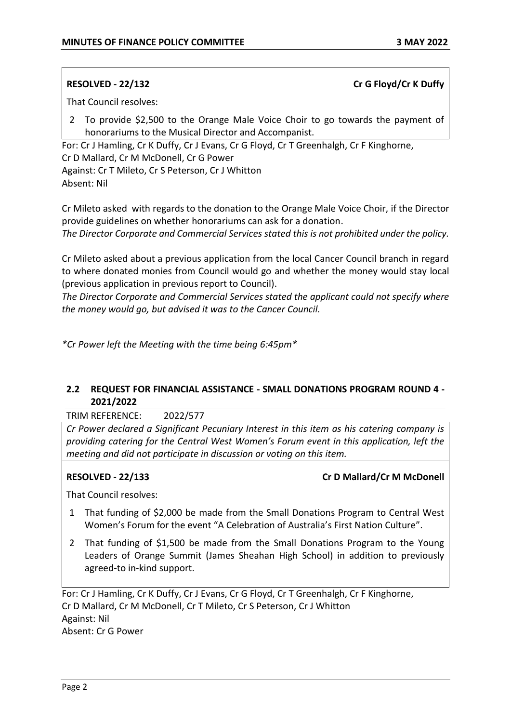### **RESOLVED - 22/132 Cr G Floyd/Cr K Duffy**

That Council resolves:

2 To provide \$2,500 to the Orange Male Voice Choir to go towards the payment of honorariums to the Musical Director and Accompanist.

For: Cr J Hamling, Cr K Duffy, Cr J Evans, Cr G Floyd, Cr T Greenhalgh, Cr F Kinghorne, Cr D Mallard, Cr M McDonell, Cr G Power Against: Cr T Mileto, Cr S Peterson, Cr J Whitton

Absent: Nil

Cr Mileto asked with regards to the donation to the Orange Male Voice Choir, if the Director provide guidelines on whether honorariums can ask for a donation.

*The Director Corporate and Commercial Services stated this is not prohibited under the policy.*

Cr Mileto asked about a previous application from the local Cancer Council branch in regard to where donated monies from Council would go and whether the money would stay local (previous application in previous report to Council).

*The Director Corporate and Commercial Services stated the applicant could not specify where the money would go, but advised it was to the Cancer Council.*

*\*Cr Power left the Meeting with the time being 6:45pm\**

## **2.2 REQUEST FOR FINANCIAL ASSISTANCE - SMALL DONATIONS PROGRAM ROUND 4 - 2021/2022**

TRIM REFERENCE: 2022/577

*Cr Power declared a Significant Pecuniary Interest in this item as his catering company is providing catering for the Central West Women's Forum event in this application, left the meeting and did not participate in discussion or voting on this item.*

### **RESOLVED - 22/133 Cr D Mallard/Cr M McDonell**

That Council resolves:

- 1 That funding of \$2,000 be made from the Small Donations Program to Central West Women's Forum for the event "A Celebration of Australia's First Nation Culture".
- 2 That funding of \$1,500 be made from the Small Donations Program to the Young Leaders of Orange Summit (James Sheahan High School) in addition to previously agreed-to in-kind support.

For: Cr J Hamling, Cr K Duffy, Cr J Evans, Cr G Floyd, Cr T Greenhalgh, Cr F Kinghorne, Cr D Mallard, Cr M McDonell, Cr T Mileto, Cr S Peterson, Cr J Whitton Against: Nil Absent: Cr G Power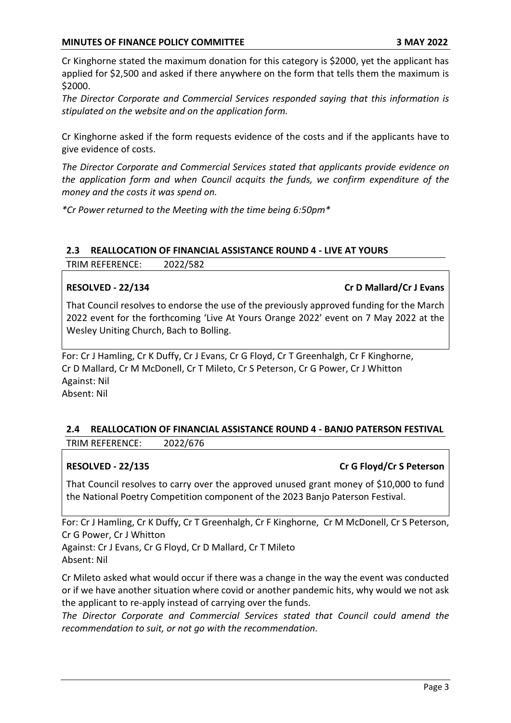Cr Kinghorne stated the maximum donation for this category is \$2000, yet the applicant has applied for \$2,500 and asked if there anywhere on the form that tells them the maximum is \$2000.

*The Director Corporate and Commercial Services responded saying that this information is stipulated on the website and on the application form.*

Cr Kinghorne asked if the form requests evidence of the costs and if the applicants have to give evidence of costs.

*The Director Corporate and Commercial Services stated that applicants provide evidence on the application form and when Council acquits the funds, we confirm expenditure of the money and the costs it was spend on.*

*\*Cr Power returned to the Meeting with the time being 6:50pm\**

### **2.3 REALLOCATION OF FINANCIAL ASSISTANCE ROUND 4 - LIVE AT YOURS**

TRIM REFERENCE: 2022/582

### **RESOLVED - 22/134 Cr D Mallard/Cr J Evans**

That Council resolves to endorse the use of the previously approved funding for the March 2022 event for the forthcoming 'Live At Yours Orange 2022' event on 7 May 2022 at the Wesley Uniting Church, Bach to Bolling.

For: Cr J Hamling, Cr K Duffy, Cr J Evans, Cr G Floyd, Cr T Greenhalgh, Cr F Kinghorne, Cr D Mallard, Cr M McDonell, Cr T Mileto, Cr S Peterson, Cr G Power, Cr J Whitton Against: Nil Absent: Nil

## **2.4 REALLOCATION OF FINANCIAL ASSISTANCE ROUND 4 - BANJO PATERSON FESTIVAL** TRIM REFERENCE: 2022/676

### **RESOLVED - 22/135 Cr G Floyd/Cr S Peterson**

That Council resolves to carry over the approved unused grant money of \$10,000 to fund the National Poetry Competition component of the 2023 Banjo Paterson Festival.

For: Cr J Hamling, Cr K Duffy, Cr T Greenhalgh, Cr F Kinghorne, Cr M McDonell, Cr S Peterson, Cr G Power, Cr J Whitton

Against: Cr J Evans, Cr G Floyd, Cr D Mallard, Cr T Mileto Absent: Nil

Cr Mileto asked what would occur if there was a change in the way the event was conducted or if we have another situation where covid or another pandemic hits, why would we not ask the applicant to re-apply instead of carrying over the funds.

*The Director Corporate and Commercial Services stated that Council could amend the recommendation to suit, or not go with the recommendation.*